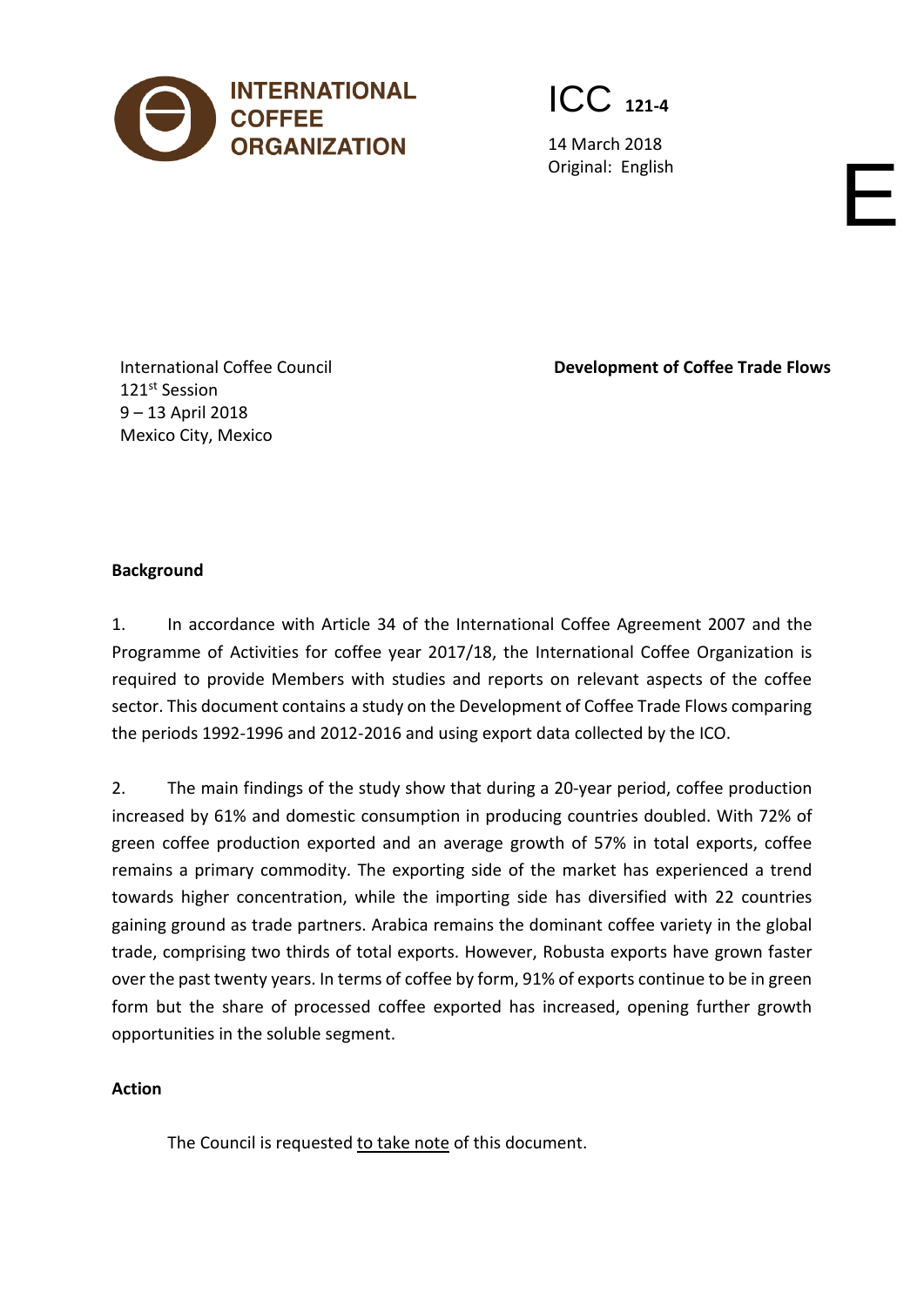

ICC **121-4**

14 March 2018 Original: English English English English English English English English English English English English English English English English English English English English English English English English English English Engl

International Coffee Council 121st Session 9 – 13 April 2018 Mexico City, Mexico

**Development of Coffee Trade Flows**

## **Background**

1. In accordance with Article 34 of the International Coffee Agreement 2007 and the Programme of Activities for coffee year 2017/18, the International Coffee Organization is required to provide Members with studies and reports on relevant aspects of the coffee sector. This document contains a study on the Development of Coffee Trade Flows comparing the periods 1992-1996 and 2012-2016 and using export data collected by the ICO.

2. The main findings of the study show that during a 20-year period, coffee production increased by 61% and domestic consumption in producing countries doubled. With 72% of green coffee production exported and an average growth of 57% in total exports, coffee remains a primary commodity. The exporting side of the market has experienced a trend towards higher concentration, while the importing side has diversified with 22 countries gaining ground as trade partners. Arabica remains the dominant coffee variety in the global trade, comprising two thirds of total exports. However, Robusta exports have grown faster over the past twenty years. In terms of coffee by form, 91% of exports continue to be in green form but the share of processed coffee exported has increased, opening further growth opportunities in the soluble segment.

# **Action**

The Council is requested to take note of this document.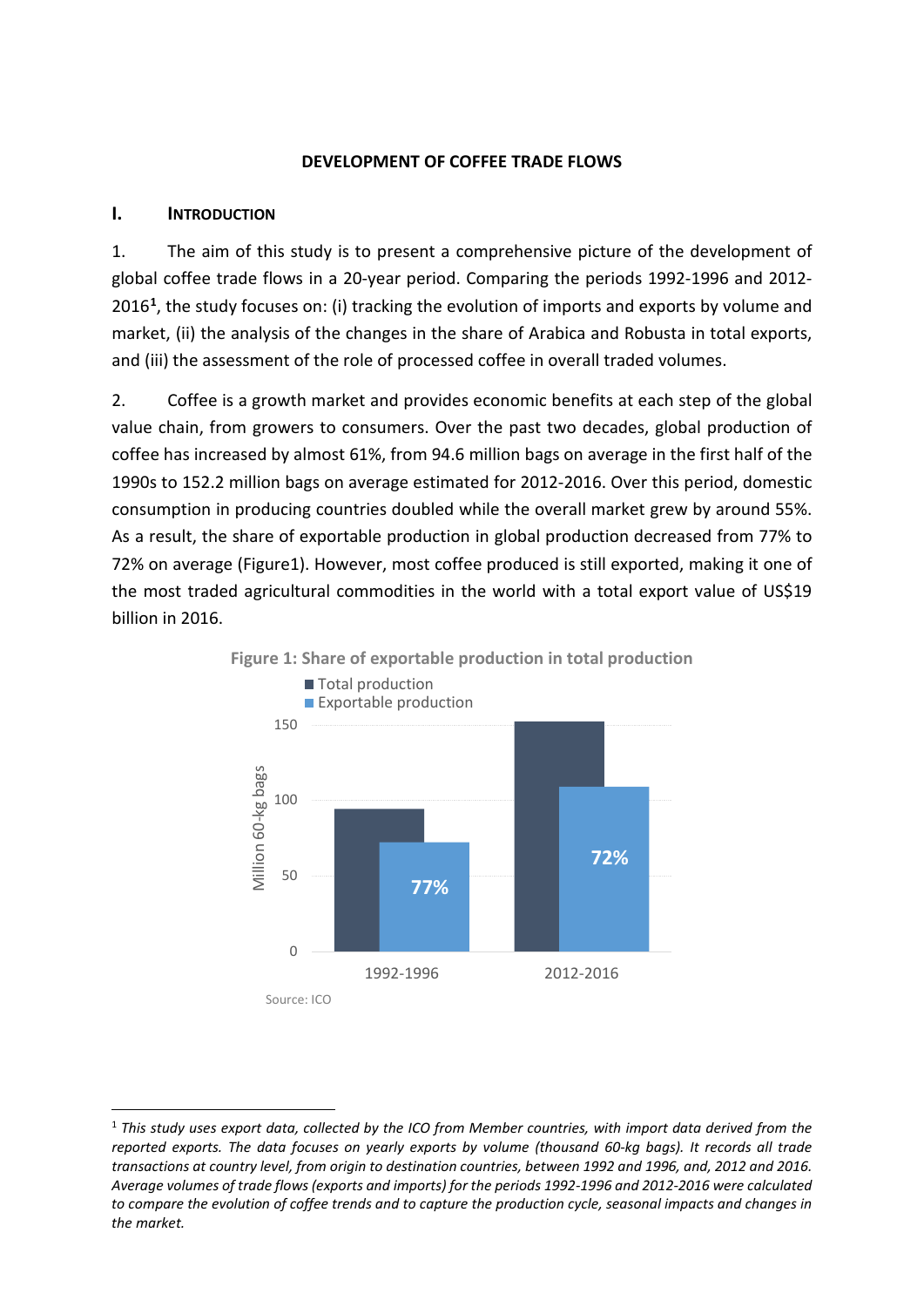## **DEVELOPMENT OF COFFEE TRADE FLOWS**

## **I. INTRODUCTION**

1. The aim of this study is to present a comprehensive picture of the development of global coffee trade flows in a 20-year period. Comparing the periods 1992-1996 and 2012- 2016**[1](#page-1-0)**, the study focuses on: (i) tracking the evolution of imports and exports by volume and market, (ii) the analysis of the changes in the share of Arabica and Robusta in total exports, and (iii) the assessment of the role of processed coffee in overall traded volumes.

2. Coffee is a growth market and provides economic benefits at each step of the global value chain, from growers to consumers. Over the past two decades, global production of coffee has increased by almost 61%, from 94.6 million bags on average in the first half of the 1990s to 152.2 million bags on average estimated for 2012-2016. Over this period, domestic consumption in producing countries doubled while the overall market grew by around 55%. As a result, the share of exportable production in global production decreased from 77% to 72% on average (Figure1). However, most coffee produced is still exported, making it one of the most traded agricultural commodities in the world with a total export value of US\$19 billion in 2016.



<span id="page-1-0"></span> <sup>1</sup> *This study uses export data, collected by the ICO from Member countries, with import data derived from the reported exports. The data focuses on yearly exports by volume (thousand 60-kg bags). It records all trade transactions at country level, from origin to destination countries, between 1992 and 1996, and, 2012 and 2016. Average volumes of trade flows (exports and imports) for the periods 1992-1996 and 2012-2016 were calculated to compare the evolution of coffee trends and to capture the production cycle, seasonal impacts and changes in the market.*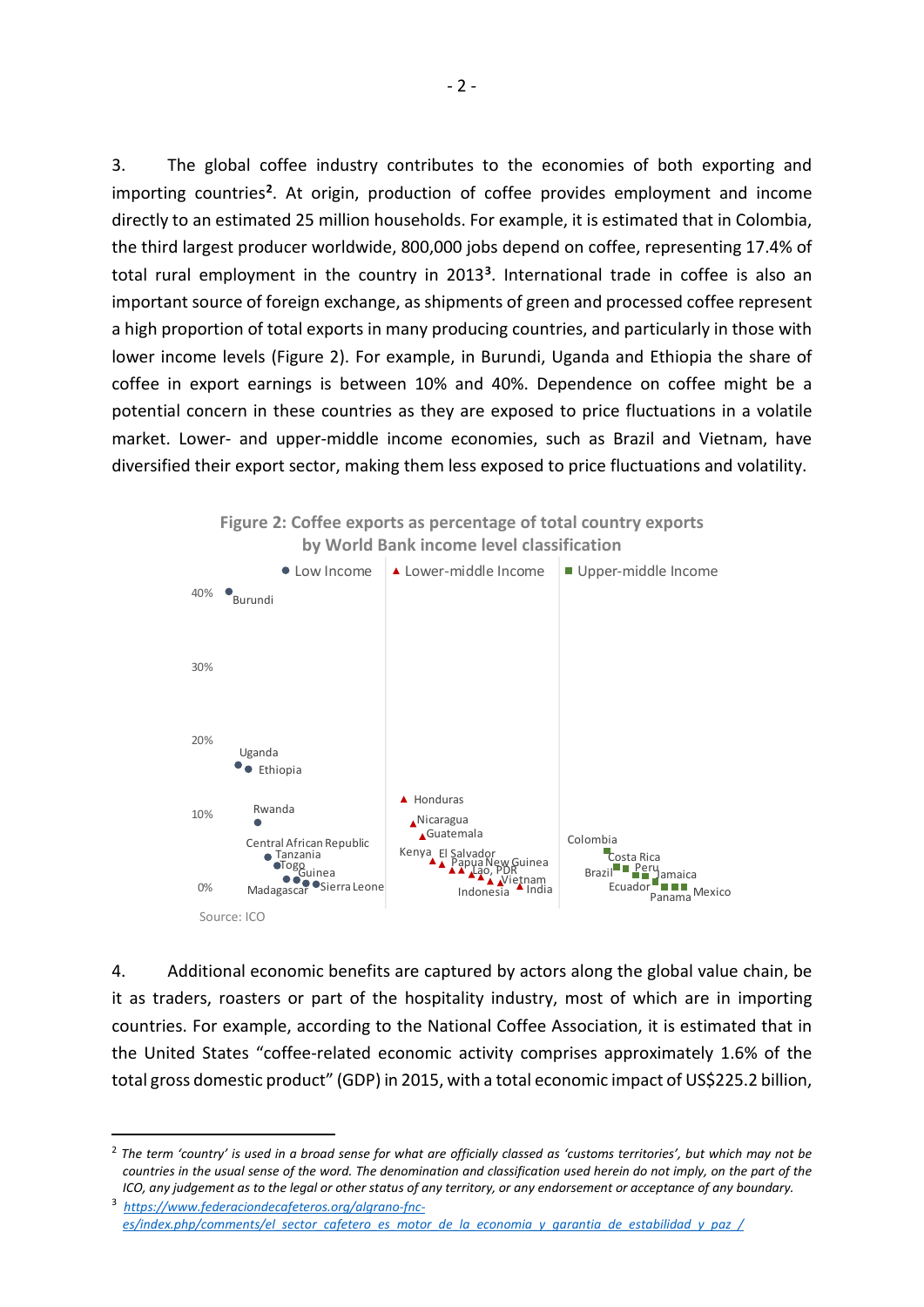3. The global coffee industry contributes to the economies of both exporting and importing countries**[2](#page-2-0)**. At origin, production of coffee provides employment and income directly to an estimated 25 million households. For example, it is estimated that in Colombia, the third largest producer worldwide, 800,000 jobs depend on coffee, representing 17.4% of total rural employment in the country in 2013**[3](#page-2-1)**. International trade in coffee is also an important source of foreign exchange, as shipments of green and processed coffee represent a high proportion of total exports in many producing countries, and particularly in those with lower income levels (Figure 2). For example, in Burundi, Uganda and Ethiopia the share of coffee in export earnings is between 10% and 40%. Dependence on coffee might be a potential concern in these countries as they are exposed to price fluctuations in a volatile market. Lower- and upper-middle income economies, such as Brazil and Vietnam, have diversified their export sector, making them less exposed to price fluctuations and volatility.



4. Additional economic benefits are captured by actors along the global value chain, be it as traders, roasters or part of the hospitality industry, most of which are in importing countries. For example, according to the National Coffee Association, it is estimated that in the United States "coffee-related economic activity comprises approximately 1.6% of the total gross domestic product" (GDP) in 2015, with a total economic impact of US\$225.2 billion,

<span id="page-2-0"></span> <sup>2</sup> *The term 'country' is used in a broad sense for what are officially classed as 'customs territories', but which may not be countries in the usual sense of the word. The denomination and classification used herein do not imply, on the part of the ICO, any judgement as to the legal or other status of any territory, or any endorsement or acceptance of any boundary.*

<span id="page-2-1"></span><sup>3</sup> *[https://www.federaciondecafeteros.org/algrano-fnc](https://www.federaciondecafeteros.org/algrano-fnc-es/index.php/comments/el_sector_cafetero_es_motor_de_la_economia_y_garantia_de_estabilidad_y_paz_/)[es/index.php/comments/el\\_sector\\_cafetero\\_es\\_motor\\_de\\_la\\_economia\\_y\\_garantia\\_de\\_estabilidad\\_y\\_paz\\_/](https://www.federaciondecafeteros.org/algrano-fnc-es/index.php/comments/el_sector_cafetero_es_motor_de_la_economia_y_garantia_de_estabilidad_y_paz_/)*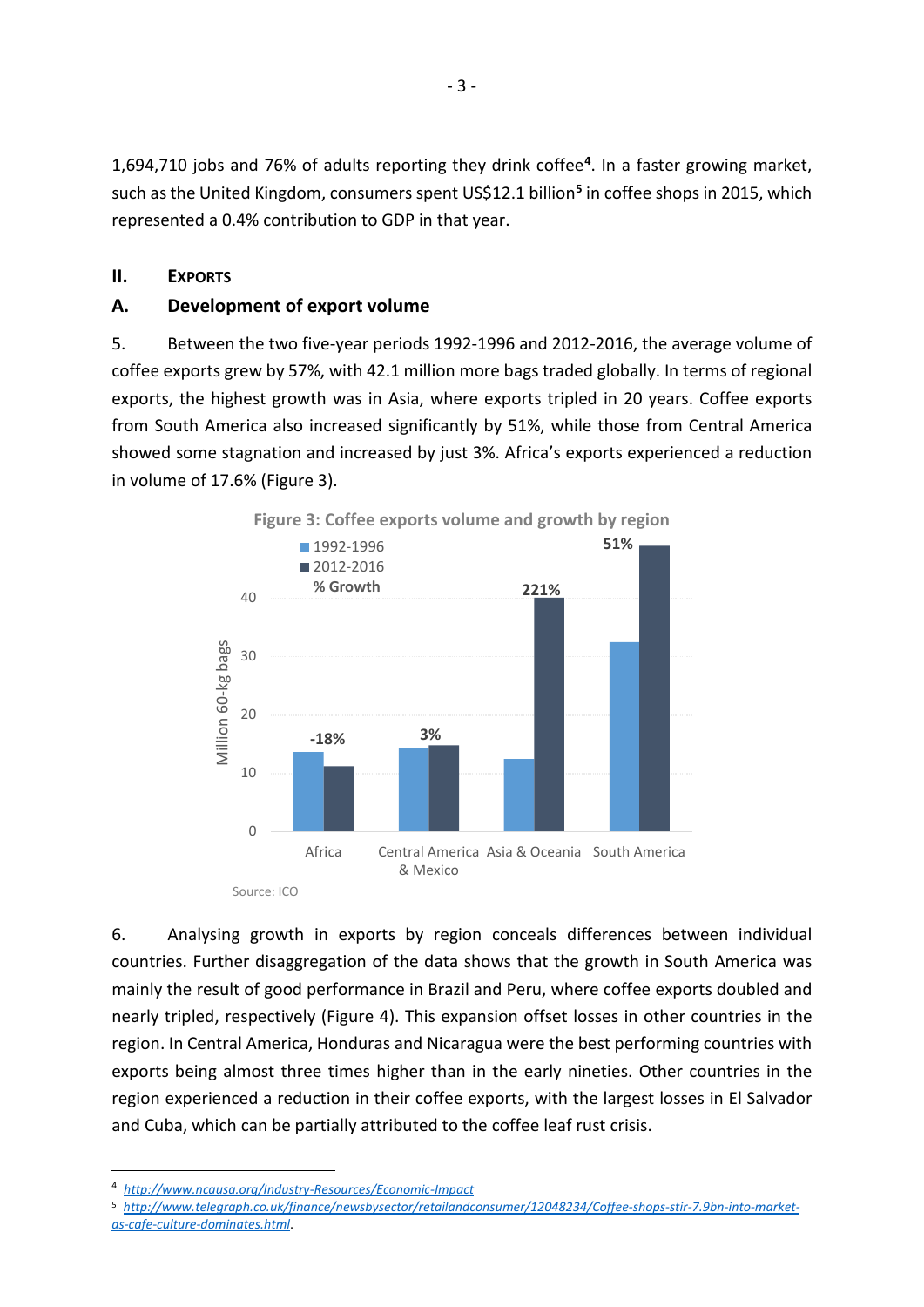1,694,710 jobs and 76% of adults reporting they drink coffee**[4](#page-3-0)**. In a faster growing market, such as the United Kingdom, consumers spent US\$12.1 billion**[5](#page-3-1)** in coffee shops in 2015, which represented a 0.4% contribution to GDP in that year.

# **II. EXPORTS**

# **A. Development of export volume**

5. Between the two five-year periods 1992-1996 and 2012-2016, the average volume of coffee exports grew by 57%, with 42.1 million more bags traded globally. In terms of regional exports, the highest growth was in Asia, where exports tripled in 20 years. Coffee exports from South America also increased significantly by 51%, while those from Central America showed some stagnation and increased by just 3%. Africa's exports experienced a reduction in volume of 17.6% (Figure 3).



6. Analysing growth in exports by region conceals differences between individual countries. Further disaggregation of the data shows that the growth in South America was mainly the result of good performance in Brazil and Peru, where coffee exports doubled and nearly tripled, respectively (Figure 4). This expansion offset losses in other countries in the region. In Central America, Honduras and Nicaragua were the best performing countries with exports being almost three times higher than in the early nineties. Other countries in the region experienced a reduction in their coffee exports, with the largest losses in El Salvador and Cuba, which can be partially attributed to the coffee leaf rust crisis.

<span id="page-3-0"></span> <sup>4</sup> *<http://www.ncausa.org/Industry-Resources/Economic-Impact>*

<span id="page-3-1"></span><sup>5</sup> *[http://www.telegraph.co.uk/finance/newsbysector/retailandconsumer/12048234/Coffee-shops-stir-7.9bn-into-market](http://www.telegraph.co.uk/finance/newsbysector/retailandconsumer/12048234/Coffee-shops-stir-7.9bn-into-market-as-cafe-culture-dominates.html)[as-cafe-culture-dominates.html](http://www.telegraph.co.uk/finance/newsbysector/retailandconsumer/12048234/Coffee-shops-stir-7.9bn-into-market-as-cafe-culture-dominates.html)*.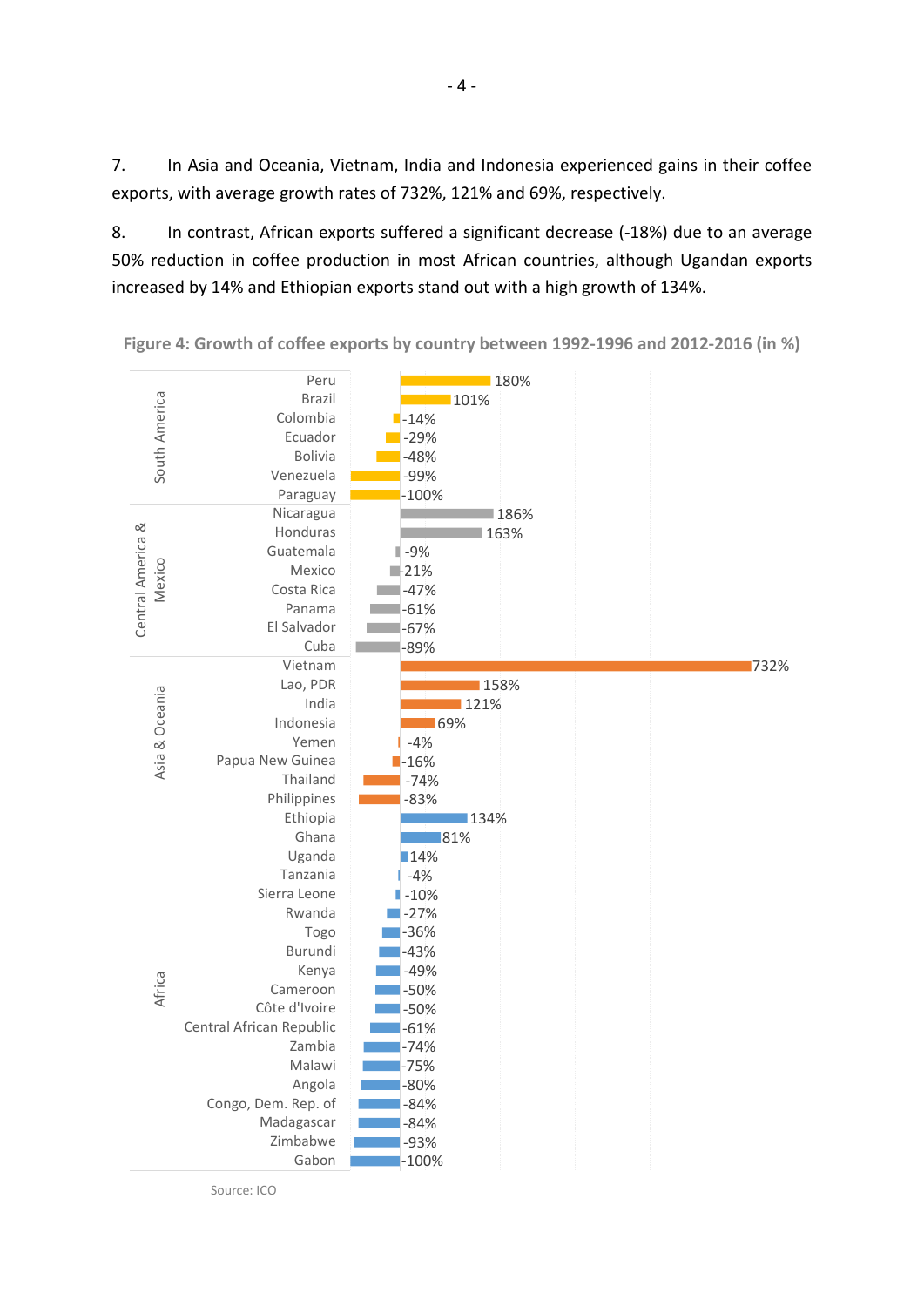7. In Asia and Oceania, Vietnam, India and Indonesia experienced gains in their coffee exports, with average growth rates of 732%, 121% and 69%, respectively.

8. In contrast, African exports suffered a significant decrease (-18%) due to an average 50% reduction in coffee production in most African countries, although Ugandan exports increased by 14% and Ethiopian exports stand out with a high growth of 134%.



**Figure 4: Growth of coffee exports by country between 1992-1996 and 2012-2016 (in %)**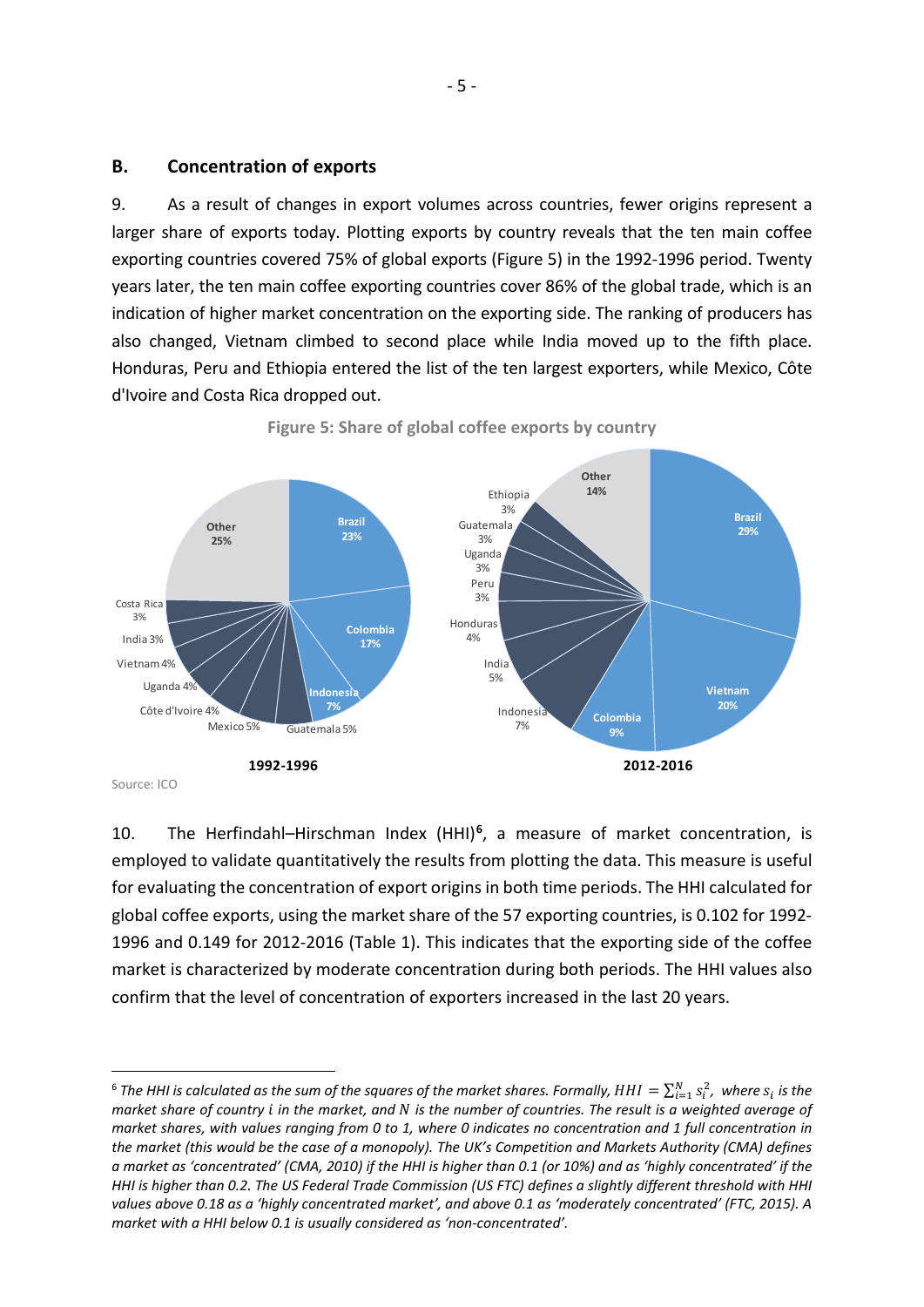## **B. Concentration of exports**

9. As a result of changes in export volumes across countries, fewer origins represent a larger share of exports today. Plotting exports by country reveals that the ten main coffee exporting countries covered 75% of global exports (Figure 5) in the 1992-1996 period. Twenty years later, the ten main coffee exporting countries cover 86% of the global trade, which is an indication of higher market concentration on the exporting side. The ranking of producers has also changed, Vietnam climbed to second place while India moved up to the fifth place. Honduras, Peru and Ethiopia entered the list of the ten largest exporters, while Mexico, Côte d'Ivoire and Costa Rica dropped out.



**Figure 5: Share of global coffee exports by country**

10. The Herfindahl–Hirschman Index (HHI)**[6](#page-5-0)**, a measure of market concentration, is employed to validate quantitatively the results from plotting the data. This measure is useful for evaluating the concentration of export originsin both time periods. The HHI calculated for global coffee exports, using the market share of the 57 exporting countries, is 0.102 for 1992- 1996 and 0.149 for 2012-2016 (Table 1). This indicates that the exporting side of the coffee market is characterized by moderate concentration during both periods. The HHI values also confirm that the level of concentration of exporters increased in the last 20 years.

<span id="page-5-0"></span><sup>&</sup>lt;sup>6</sup> The HHI is calculated as the sum of the squares of the market shares. Formally,  $HHI = \sum_{i=1}^{N} s_i^2$ , where  $s_i$  is the *market share of country in the market, and is the number of countries. The result is a weighted average of market shares, with values ranging from 0 to 1, where 0 indicates no concentration and 1 full concentration in the market (this would be the case of a monopoly). The UK's Competition and Markets Authority (CMA) defines a market as 'concentrated' (CMA, 2010) if the HHI is higher than 0.1 (or 10%) and as 'highly concentrated' if the HHI is higher than 0.2. The US Federal Trade Commission (US FTC) defines a slightly different threshold with HHI values above 0.18 as a 'highly concentrated market', and above 0.1 as 'moderately concentrated' (FTC, 2015). A market with a HHI below 0.1 is usually considered as 'non-concentrated'.*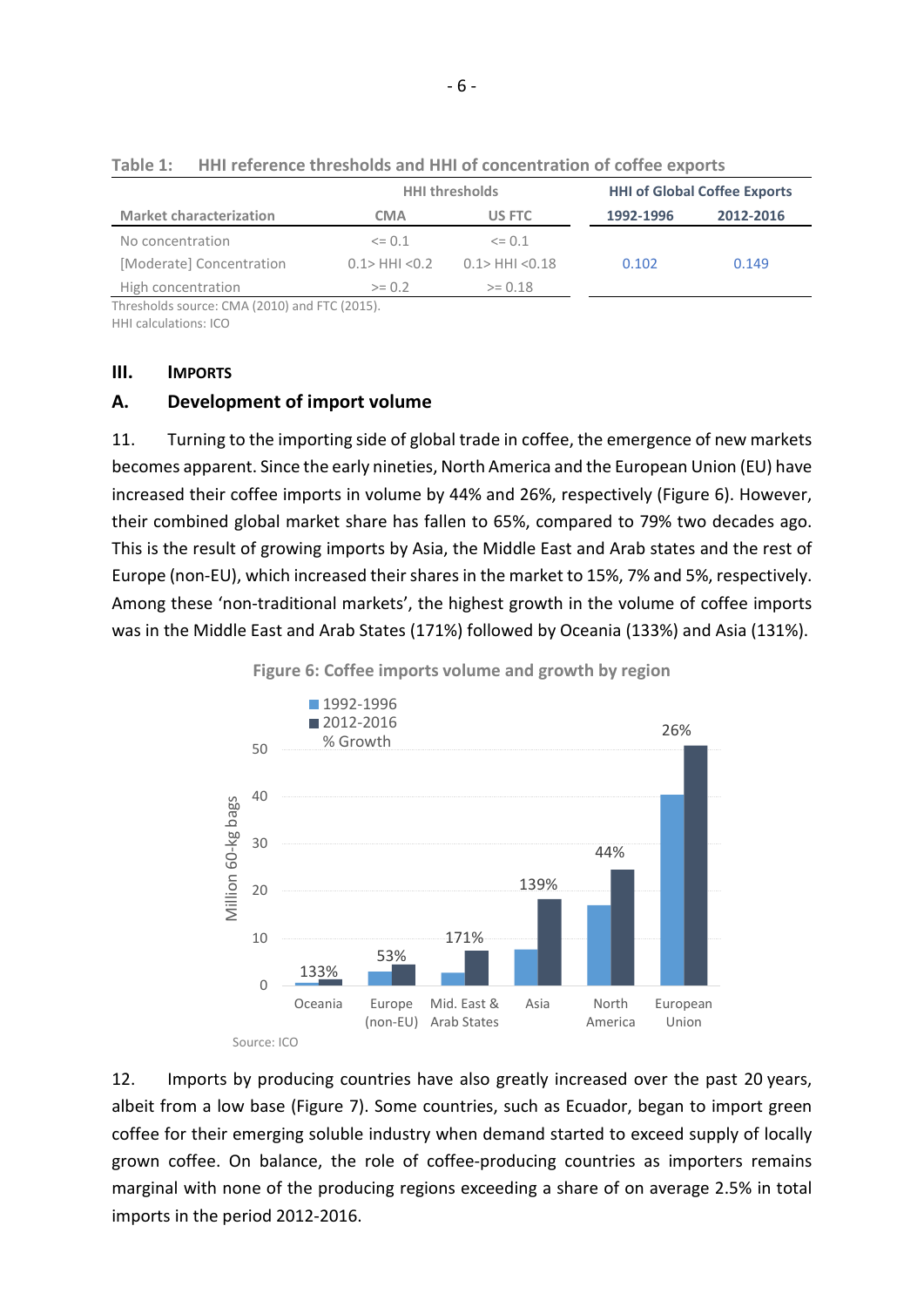|                                                    |                     | <b>HHI thresholds</b> |           | <b>HHI of Global Coffee Exports</b> |  |
|----------------------------------------------------|---------------------|-----------------------|-----------|-------------------------------------|--|
| <b>Market characterization</b>                     | <b>CMA</b>          | US FTC                | 1992-1996 | 2012-2016                           |  |
| No concentration                                   | $\leq$ 0.1          | $\leq$ 0.1            |           |                                     |  |
| [Moderate] Concentration                           | $0.1$ > HHI < $0.2$ | $0.1$ > HHI < $0.18$  | 0.102     | 0.149                               |  |
| High concentration                                 | $>= 0.2$            | $>= 0.18$             |           |                                     |  |
| $Throcholds$ course: $CMA$ (2010) and $ETC$ (2015) |                     |                       |           |                                     |  |

**Table 1: HHI reference thresholds and HHI of concentration of coffee exports**

Thresholds source: CMA (2010) and FTC (2015).

HHI calculations: ICO

## **III. IMPORTS**

# **A. Development of import volume**

11. Turning to the importing side of global trade in coffee, the emergence of new markets becomes apparent. Since the early nineties, North America and the European Union (EU) have increased their coffee imports in volume by 44% and 26%, respectively (Figure 6). However, their combined global market share has fallen to 65%, compared to 79% two decades ago. This is the result of growing imports by Asia, the Middle East and Arab states and the rest of Europe (non-EU), which increased their shares in the market to 15%, 7% and 5%, respectively. Among these 'non-traditional markets', the highest growth in the volume of coffee imports was in the Middle East and Arab States (171%) followed by Oceania (133%) and Asia (131%).



12. Imports by producing countries have also greatly increased over the past 20 years, albeit from a low base (Figure 7). Some countries, such as Ecuador, began to import green coffee for their emerging soluble industry when demand started to exceed supply of locally grown coffee. On balance, the role of coffee-producing countries as importers remains marginal with none of the producing regions exceeding a share of on average 2.5% in total imports in the period 2012-2016.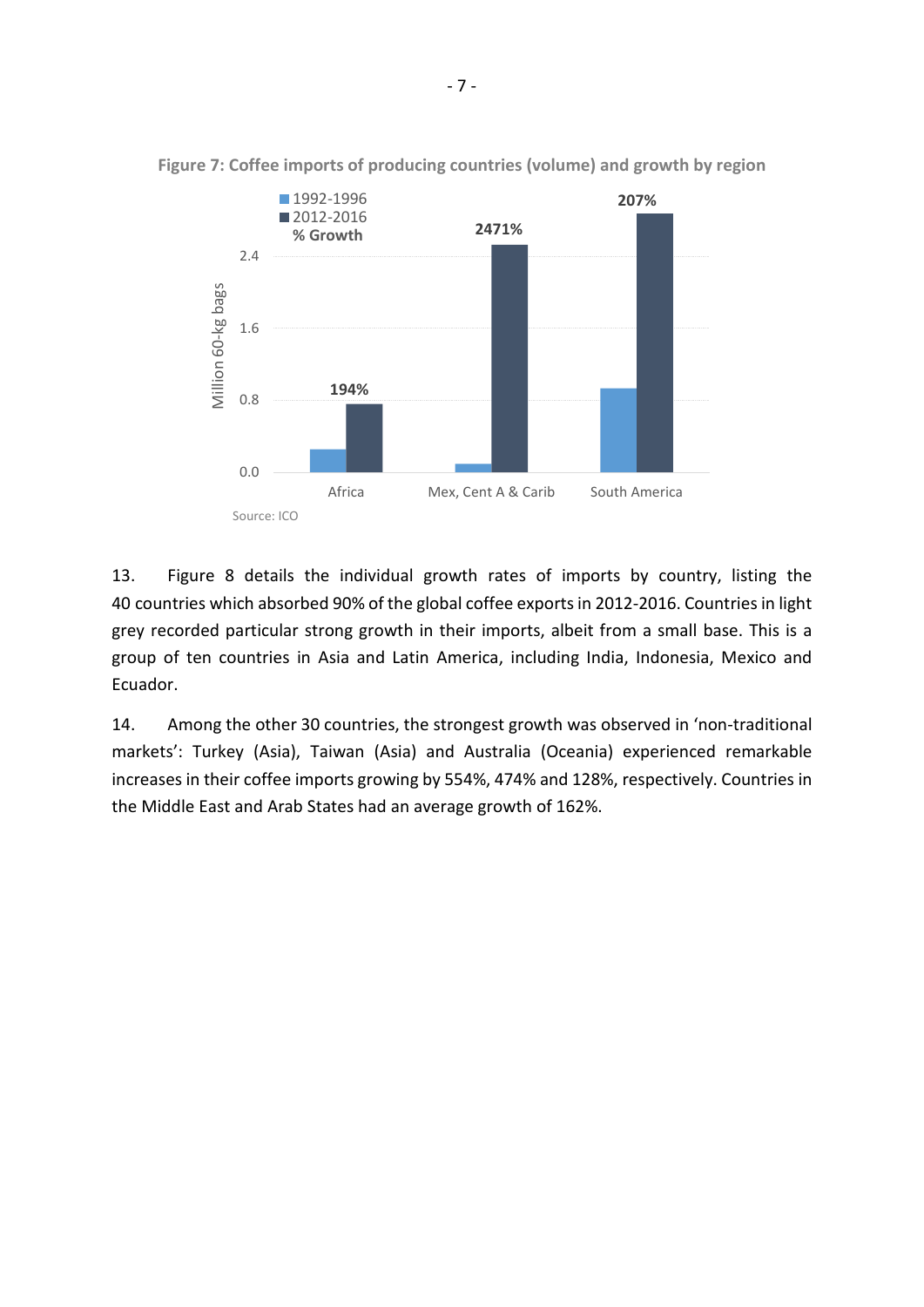

**Figure 7: Coffee imports of producing countries (volume) and growth by region**

13. Figure 8 details the individual growth rates of imports by country, listing the 40 countries which absorbed 90% of the global coffee exports in 2012-2016. Countries in light grey recorded particular strong growth in their imports, albeit from a small base. This is a group of ten countries in Asia and Latin America, including India, Indonesia, Mexico and Ecuador.

14. Among the other 30 countries, the strongest growth was observed in 'non-traditional markets': Turkey (Asia), Taiwan (Asia) and Australia (Oceania) experienced remarkable increases in their coffee imports growing by 554%, 474% and 128%, respectively. Countries in the Middle East and Arab States had an average growth of 162%.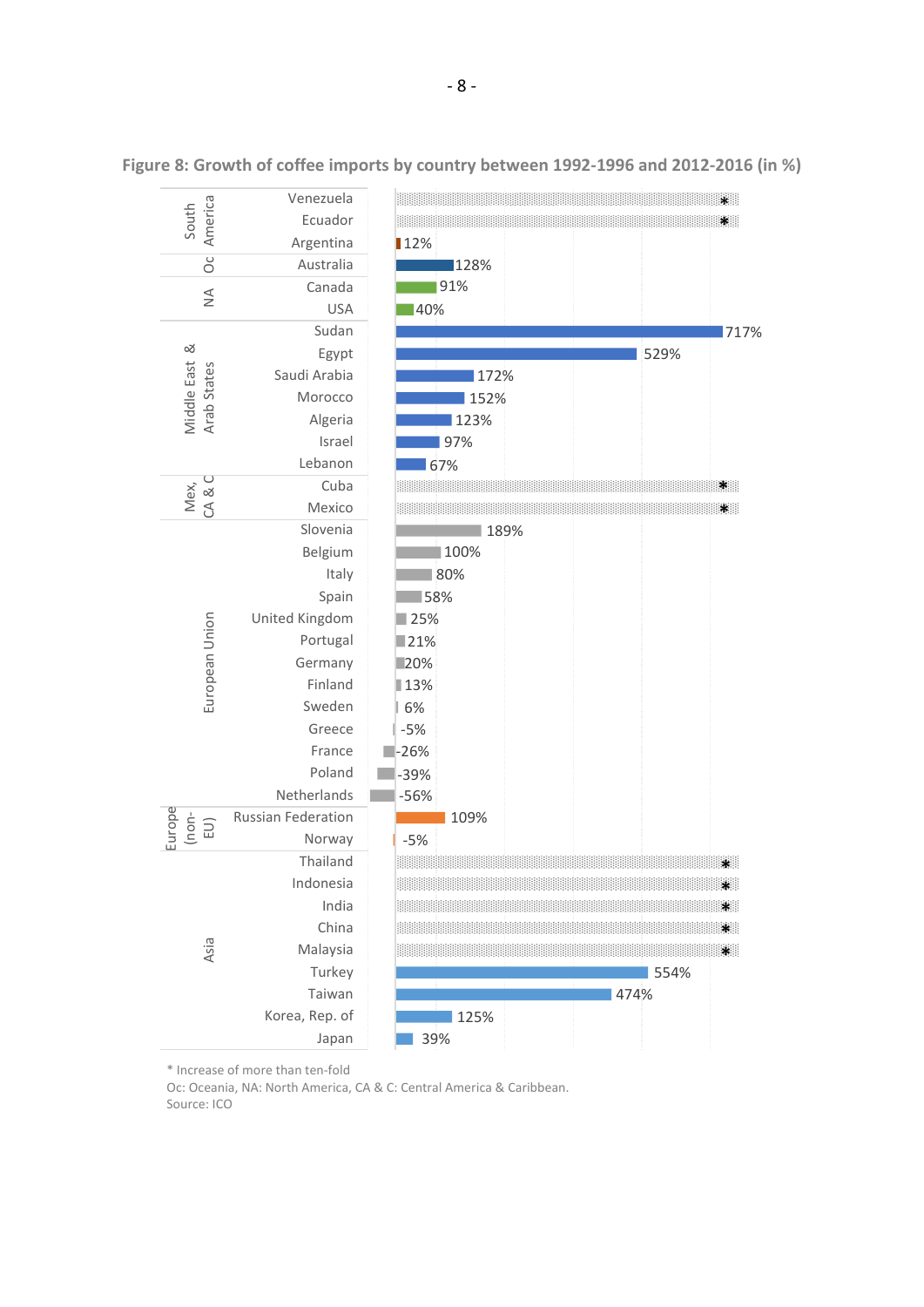

**Figure 8: Growth of coffee imports by country between 1992-1996 and 2012-2016 (in %)**

\* Increase of more than ten-fold

Oc: Oceania, NA: North America, CA & C: Central America & Caribbean. Source: ICO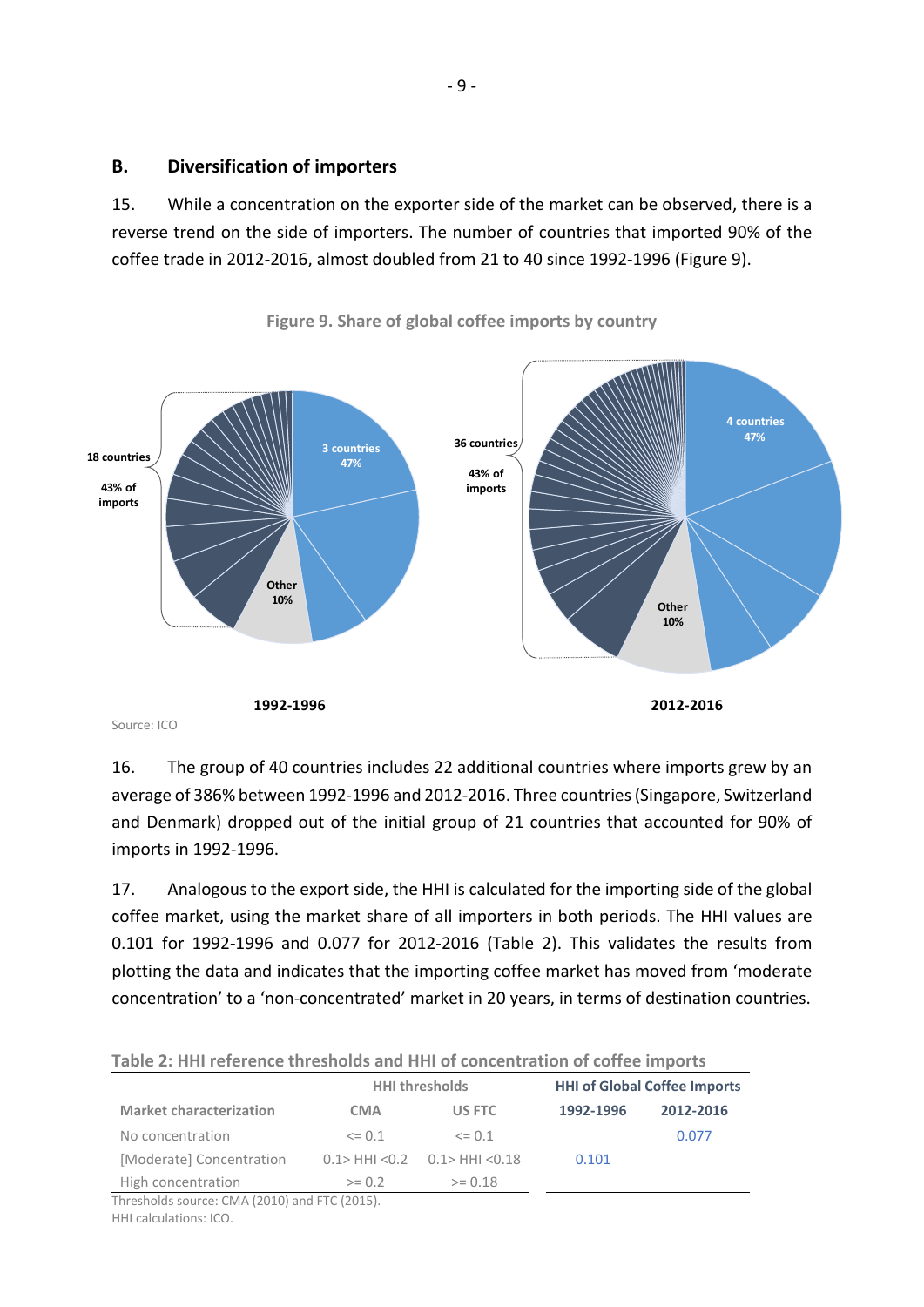# **B. Diversification of importers**

15. While a concentration on the exporter side of the market can be observed, there is a reverse trend on the side of importers. The number of countries that imported 90% of the coffee trade in 2012-2016, almost doubled from 21 to 40 since 1992-1996 (Figure 9).



**Figure 9. Share of global coffee imports by country**

16. The group of 40 countries includes 22 additional countries where imports grew by an average of 386% between 1992-1996 and 2012-2016. Three countries (Singapore, Switzerland and Denmark) dropped out of the initial group of 21 countries that accounted for 90% of imports in 1992-1996.

17. Analogous to the export side, the HHI is calculated for the importing side of the global coffee market, using the market share of all importers in both periods. The HHI values are 0.101 for 1992-1996 and 0.077 for 2012-2016 (Table 2). This validates the results from plotting the data and indicates that the importing coffee market has moved from 'moderate concentration' to a 'non-concentrated' market in 20 years, in terms of destination countries.

| TAMIC 4, THIT TCICLCIUC UITCONVIUS ANU THIT VI UVIIUCHU AUVII VI UVIIUC INIMVI US |                       |                                        |                                     |           |  |  |
|-----------------------------------------------------------------------------------|-----------------------|----------------------------------------|-------------------------------------|-----------|--|--|
|                                                                                   | <b>HHI thresholds</b> |                                        | <b>HHI of Global Coffee Imports</b> |           |  |  |
| <b>Market characterization</b>                                                    | CMA                   | US FTC                                 | 1992-1996                           | 2012-2016 |  |  |
| No concentration                                                                  | $\leq$ 0.1            | $\leq$ 0.1                             |                                     | 0.077     |  |  |
| [Moderate] Concentration                                                          |                       | $0.1$ > HHI < $0.2$ 0.1 > HHI < $0.18$ | 0.101                               |           |  |  |
| High concentration                                                                | $>= 0.2$              | $>= 0.18$                              |                                     |           |  |  |
|                                                                                   |                       |                                        |                                     |           |  |  |

|  | Table 2: HHI reference thresholds and HHI of concentration of coffee imports |  |  |  |  |
|--|------------------------------------------------------------------------------|--|--|--|--|
|--|------------------------------------------------------------------------------|--|--|--|--|

Thresholds source: CMA (2010) and FTC (2015). HHI calculations: ICO.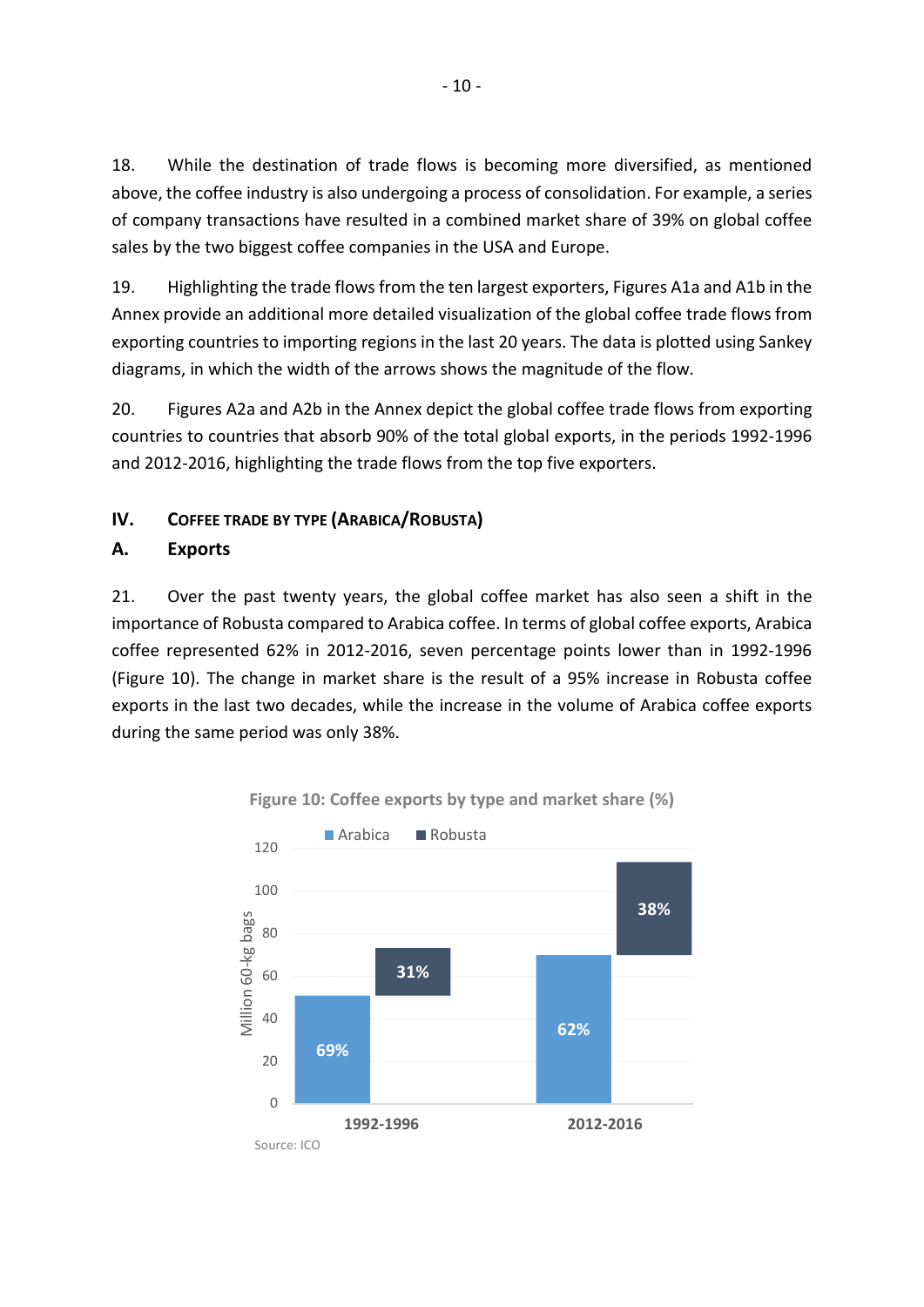18. While the destination of trade flows is becoming more diversified, as mentioned above, the coffee industry is also undergoing a process of consolidation. For example, a series of company transactions have resulted in a combined market share of 39% on global coffee sales by the two biggest coffee companies in the USA and Europe.

19. Highlighting the trade flows from the ten largest exporters, Figures A1a and A1b in the Annex provide an additional more detailed visualization of the global coffee trade flows from exporting countries to importing regions in the last 20 years. The data is plotted using Sankey diagrams, in which the width of the arrows shows the magnitude of the flow.

20. Figures A2a and A2b in the Annex depict the global coffee trade flows from exporting countries to countries that absorb 90% of the total global exports, in the periods 1992-1996 and 2012-2016, highlighting the trade flows from the top five exporters.

# **IV. COFFEE TRADE BY TYPE (ARABICA/ROBUSTA)**

# **A. Exports**

21. Over the past twenty years, the global coffee market has also seen a shift in the importance of Robusta compared to Arabica coffee. In terms of global coffee exports, Arabica coffee represented 62% in 2012-2016, seven percentage points lower than in 1992-1996 (Figure 10). The change in market share is the result of a 95% increase in Robusta coffee exports in the last two decades, while the increase in the volume of Arabica coffee exports during the same period was only 38%.



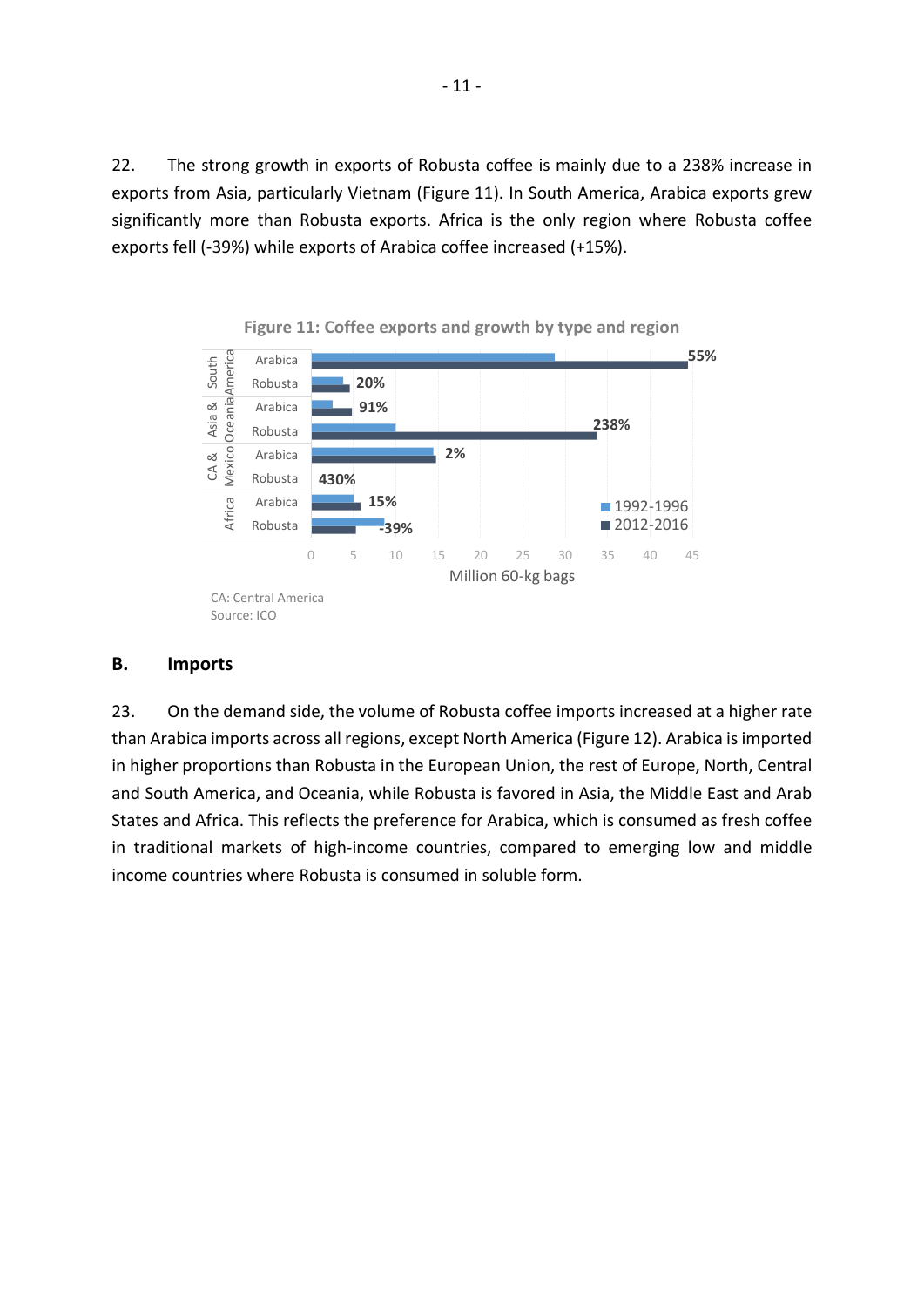22. The strong growth in exports of Robusta coffee is mainly due to a 238% increase in exports from Asia, particularly Vietnam (Figure 11). In South America, Arabica exports grew significantly more than Robusta exports. Africa is the only region where Robusta coffee exports fell (-39%) while exports of Arabica coffee increased (+15%).





# **B. Imports**

23. On the demand side, the volume of Robusta coffee imports increased at a higher rate than Arabica imports across all regions, except North America (Figure 12). Arabica is imported in higher proportions than Robusta in the European Union, the rest of Europe, North, Central and South America, and Oceania, while Robusta is favored in Asia, the Middle East and Arab States and Africa. This reflects the preference for Arabica, which is consumed as fresh coffee in traditional markets of high-income countries, compared to emerging low and middle income countries where Robusta is consumed in soluble form.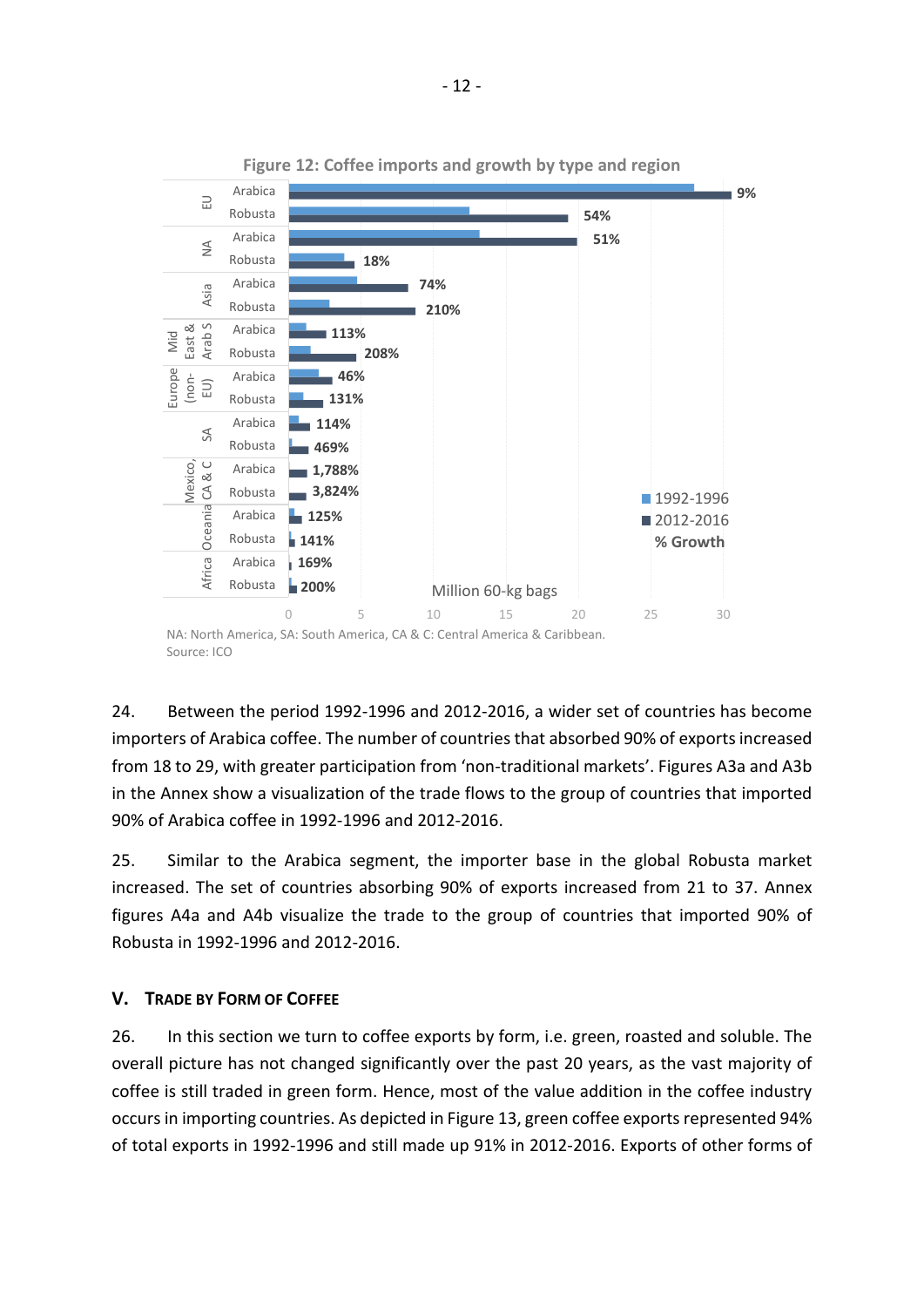

24. Between the period 1992-1996 and 2012-2016, a wider set of countries has become importers of Arabica coffee. The number of countries that absorbed 90% of exports increased from 18 to 29, with greater participation from 'non-traditional markets'. Figures A3a and A3b in the Annex show a visualization of the trade flows to the group of countries that imported 90% of Arabica coffee in 1992-1996 and 2012-2016.

25. Similar to the Arabica segment, the importer base in the global Robusta market increased. The set of countries absorbing 90% of exports increased from 21 to 37. Annex figures A4a and A4b visualize the trade to the group of countries that imported 90% of Robusta in 1992-1996 and 2012-2016.

# **V. TRADE BY FORM OF COFFEE**

26. In this section we turn to coffee exports by form, i.e. green, roasted and soluble. The overall picture has not changed significantly over the past 20 years, as the vast majority of coffee is still traded in green form. Hence, most of the value addition in the coffee industry occurs in importing countries. As depicted in Figure 13, green coffee exports represented 94% of total exports in 1992-1996 and still made up 91% in 2012-2016. Exports of other forms of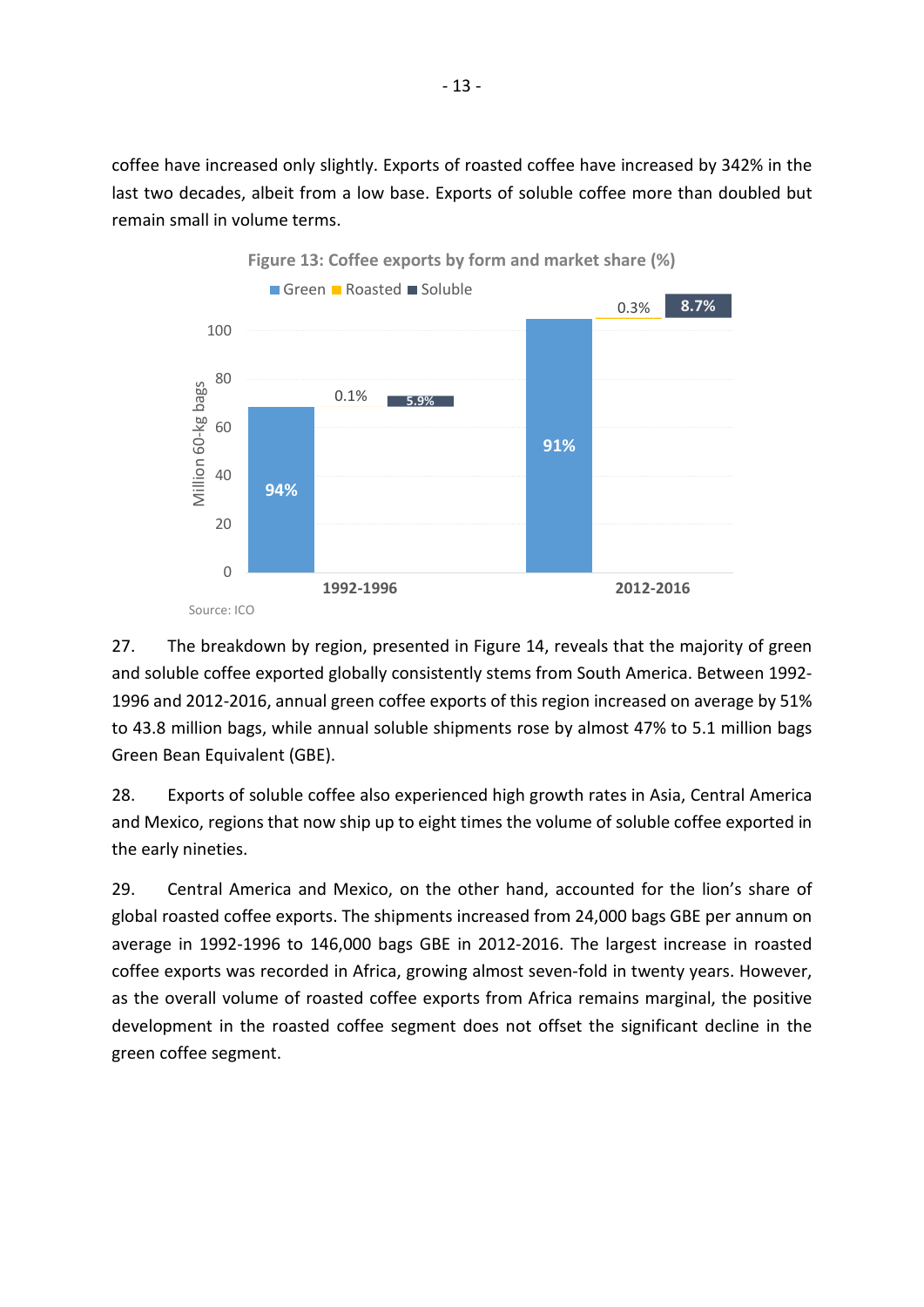coffee have increased only slightly. Exports of roasted coffee have increased by 342% in the last two decades, albeit from a low base. Exports of soluble coffee more than doubled but remain small in volume terms.



27. The breakdown by region, presented in Figure 14, reveals that the majority of green and soluble coffee exported globally consistently stems from South America. Between 1992- 1996 and 2012-2016, annual green coffee exports of this region increased on average by 51% to 43.8 million bags, while annual soluble shipments rose by almost 47% to 5.1 million bags Green Bean Equivalent (GBE).

28. Exports of soluble coffee also experienced high growth rates in Asia, Central America and Mexico, regions that now ship up to eight times the volume of soluble coffee exported in the early nineties.

29. Central America and Mexico, on the other hand, accounted for the lion's share of global roasted coffee exports. The shipments increased from 24,000 bags GBE per annum on average in 1992-1996 to 146,000 bags GBE in 2012-2016. The largest increase in roasted coffee exports was recorded in Africa, growing almost seven-fold in twenty years. However, as the overall volume of roasted coffee exports from Africa remains marginal, the positive development in the roasted coffee segment does not offset the significant decline in the green coffee segment.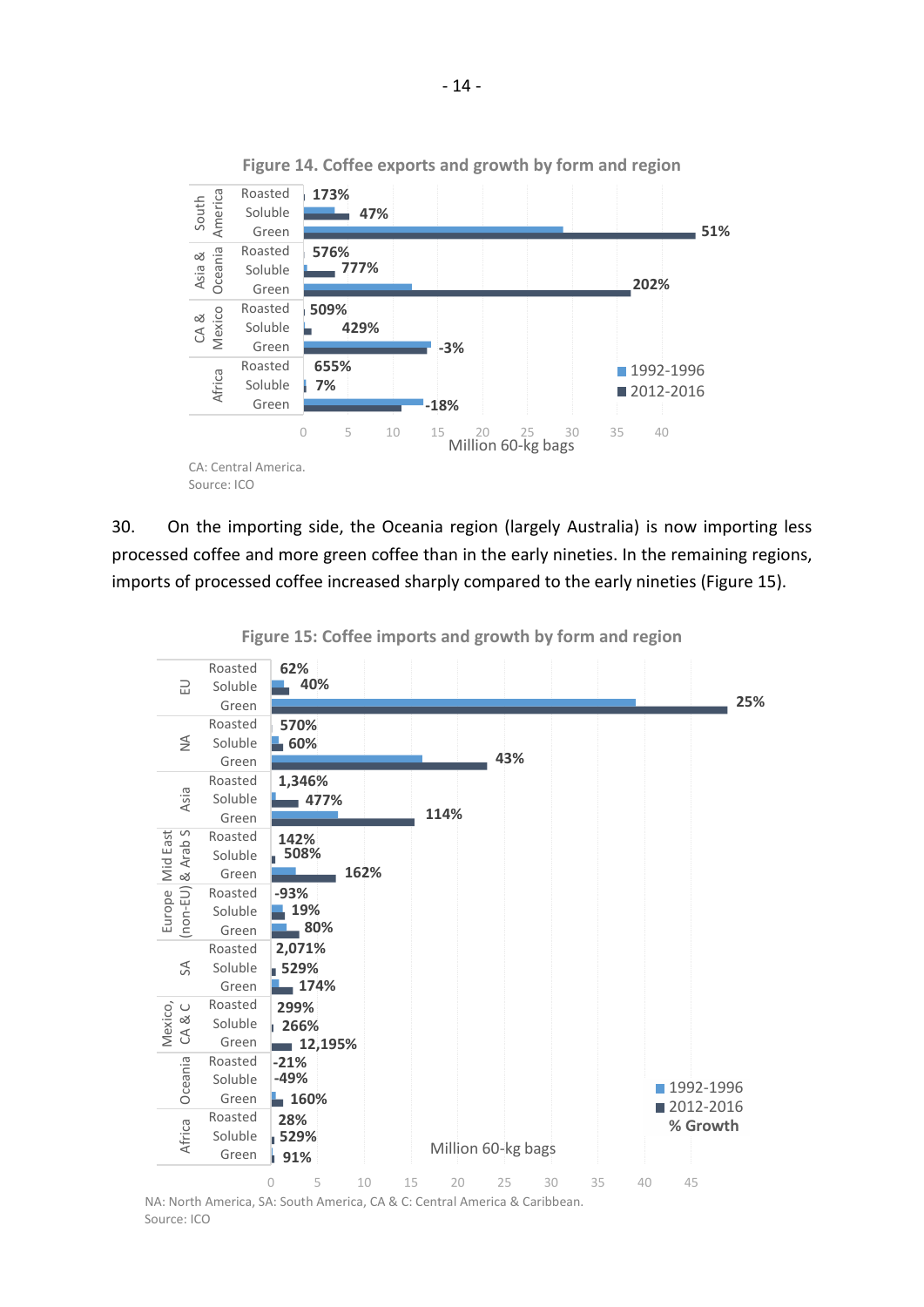

**Figure 14. Coffee exports and growth by form and region**

30. On the importing side, the Oceania region (largely Australia) is now importing less processed coffee and more green coffee than in the early nineties. In the remaining regions, imports of processed coffee increased sharply compared to the early nineties (Figure 15).



**Figure 15: Coffee imports and growth by form and region**

NA: North America, SA: South America, CA & C: Central America & Caribbean. Source: ICO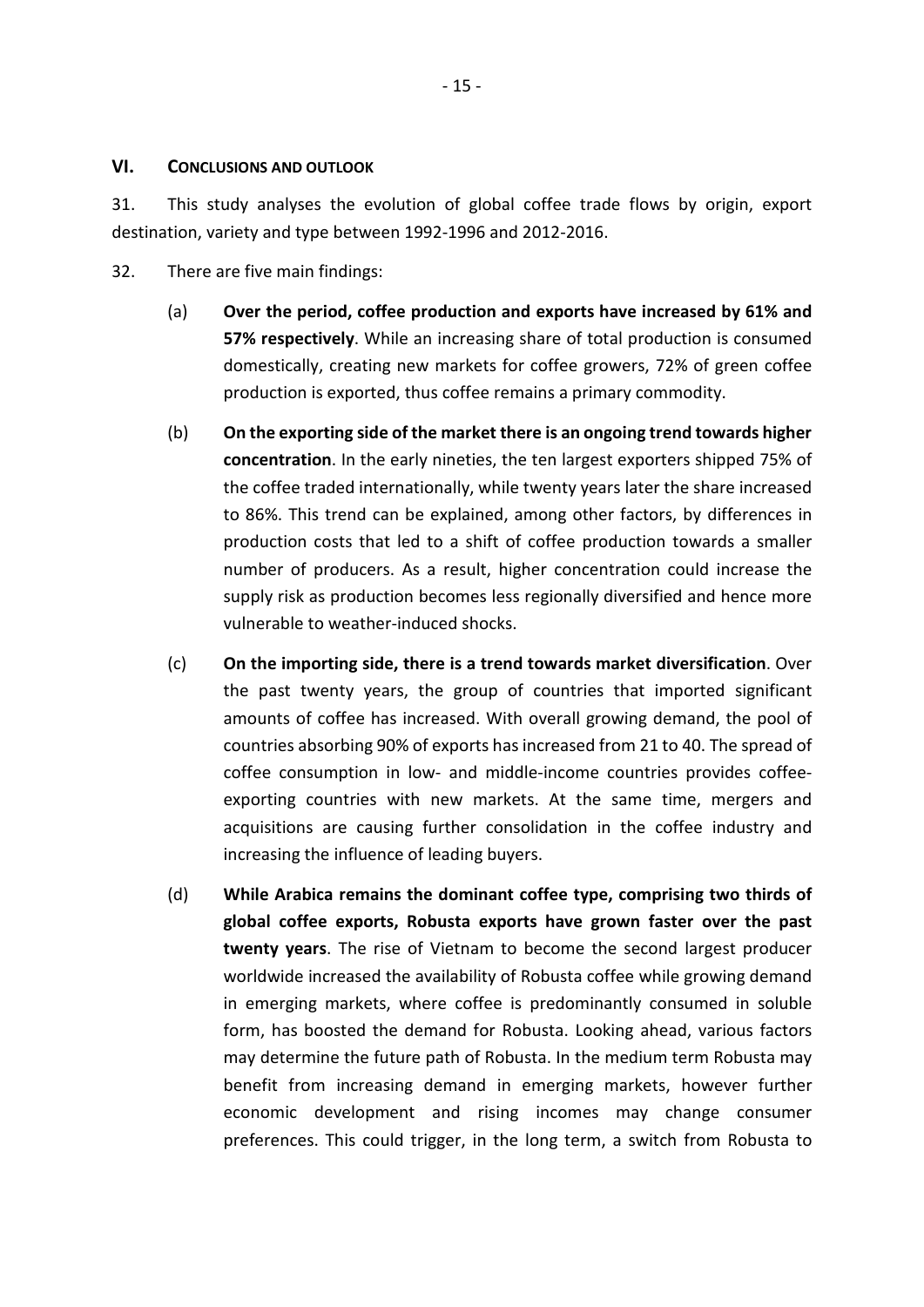## **VI. CONCLUSIONS AND OUTLOOK**

31. This study analyses the evolution of global coffee trade flows by origin, export destination, variety and type between 1992-1996 and 2012-2016.

- 32. There are five main findings:
	- (a) **Over the period, coffee production and exports have increased by 61% and 57% respectively**. While an increasing share of total production is consumed domestically, creating new markets for coffee growers, 72% of green coffee production is exported, thus coffee remains a primary commodity.
	- (b) **On the exporting side of the market there is an ongoing trend towards higher concentration**. In the early nineties, the ten largest exporters shipped 75% of the coffee traded internationally, while twenty years later the share increased to 86%. This trend can be explained, among other factors, by differences in production costs that led to a shift of coffee production towards a smaller number of producers. As a result, higher concentration could increase the supply risk as production becomes less regionally diversified and hence more vulnerable to weather-induced shocks.
	- (c) **On the importing side, there is a trend towards market diversification**. Over the past twenty years, the group of countries that imported significant amounts of coffee has increased. With overall growing demand, the pool of countries absorbing 90% of exports has increased from 21 to 40. The spread of coffee consumption in low- and middle-income countries provides coffeeexporting countries with new markets. At the same time, mergers and acquisitions are causing further consolidation in the coffee industry and increasing the influence of leading buyers.
	- (d) **While Arabica remains the dominant coffee type, comprising two thirds of global coffee exports, Robusta exports have grown faster over the past twenty years**. The rise of Vietnam to become the second largest producer worldwide increased the availability of Robusta coffee while growing demand in emerging markets, where coffee is predominantly consumed in soluble form, has boosted the demand for Robusta. Looking ahead, various factors may determine the future path of Robusta. In the medium term Robusta may benefit from increasing demand in emerging markets, however further economic development and rising incomes may change consumer preferences. This could trigger, in the long term, a switch from Robusta to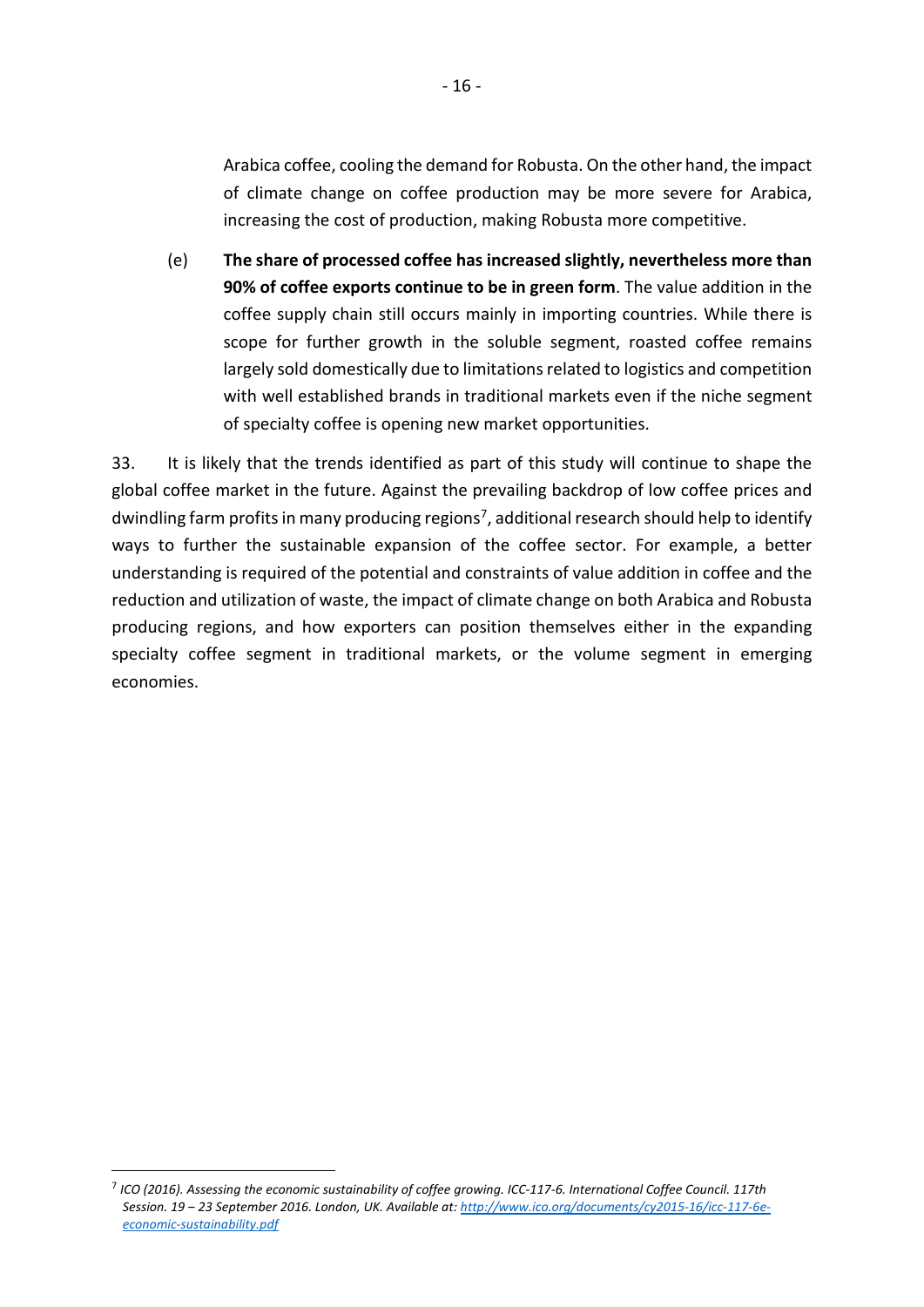Arabica coffee, cooling the demand for Robusta. On the other hand, the impact of climate change on coffee production may be more severe for Arabica, increasing the cost of production, making Robusta more competitive.

(e) **The share of processed coffee has increased slightly, nevertheless more than 90% of coffee exports continue to be in green form**. The value addition in the coffee supply chain still occurs mainly in importing countries. While there is scope for further growth in the soluble segment, roasted coffee remains largely sold domestically due to limitations related to logistics and competition with well established brands in traditional markets even if the niche segment of specialty coffee is opening new market opportunities.

33. It is likely that the trends identified as part of this study will continue to shape the global coffee market in the future. Against the prevailing backdrop of low coffee prices and dwindling farm profits in many producing regions<sup>[7](#page-16-0)</sup>, additional research should help to identify ways to further the sustainable expansion of the coffee sector. For example, a better understanding is required of the potential and constraints of value addition in coffee and the reduction and utilization of waste, the impact of climate change on both Arabica and Robusta producing regions, and how exporters can position themselves either in the expanding specialty coffee segment in traditional markets, or the volume segment in emerging economies.

<span id="page-16-0"></span> <sup>7</sup> *ICO (2016). Assessing the economic sustainability of coffee growing. ICC-117-6. International Coffee Council. 117th Session. 19 ‒ 23 September 2016. London, UK. Available at: [http://www.ico.org/documents/cy2015-16/icc-117-6e](http://www.ico.org/documents/cy2015-16/icc-117-6e-economic-sustainability.pdf)[economic-sustainability.pdf](http://www.ico.org/documents/cy2015-16/icc-117-6e-economic-sustainability.pdf)*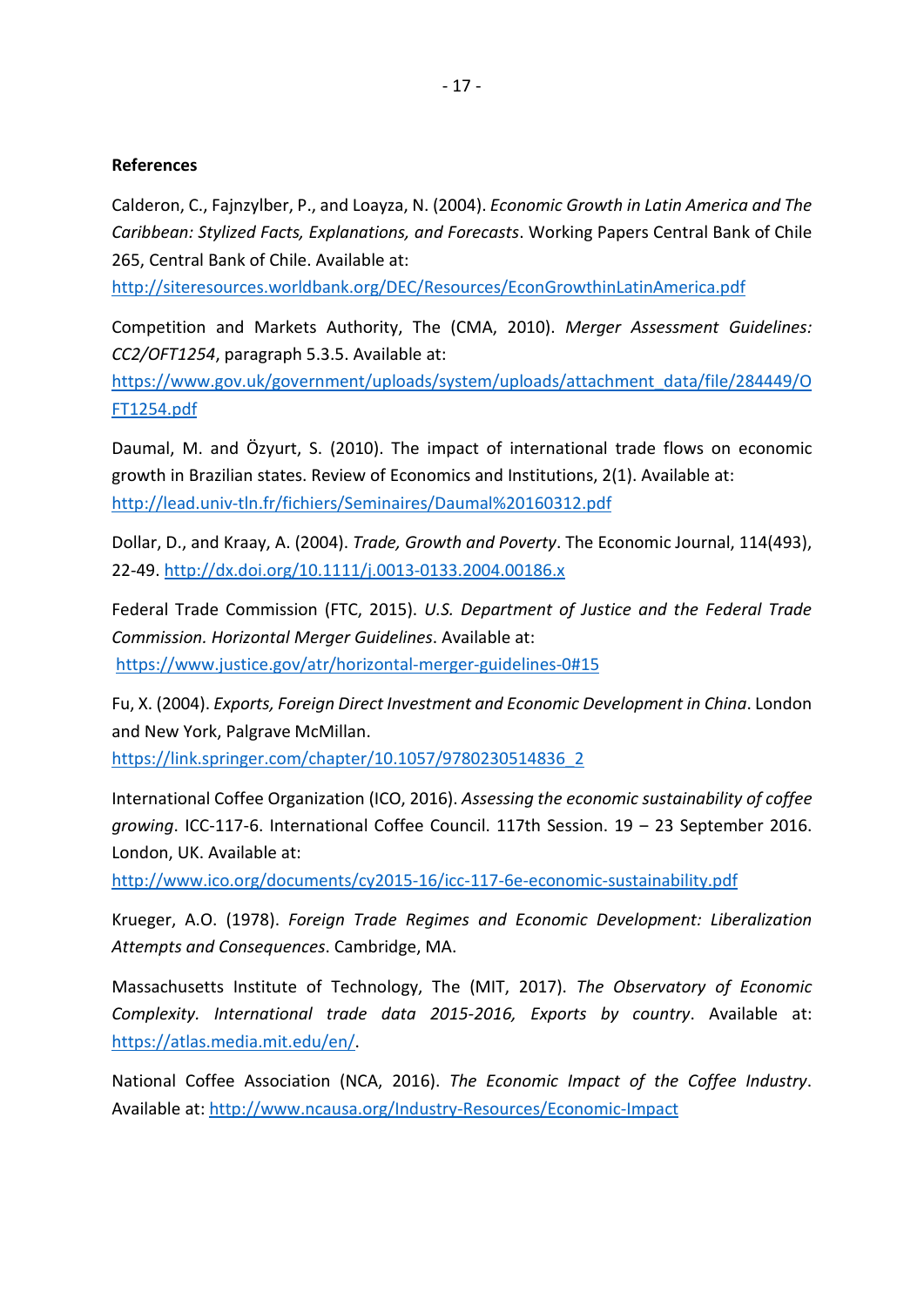## **References**

Calderon, C., Fajnzylber, P., and Loayza, N. (2004). *Economic Growth in Latin America and The Caribbean: Stylized Facts, Explanations, and Forecasts*. Working Papers Central Bank of Chile 265, Central Bank of Chile. Available at:

<http://siteresources.worldbank.org/DEC/Resources/EconGrowthinLatinAmerica.pdf>

Competition and Markets Authority, The (CMA, 2010). *Merger Assessment Guidelines: CC2/OFT1254*, paragraph 5.3.5. Available at:

[https://www.gov.uk/government/uploads/system/uploads/attachment\\_data/file/284449/O](https://www.gov.uk/government/uploads/system/uploads/attachment_data/file/284449/OFT1254.pdf) [FT1254.pdf](https://www.gov.uk/government/uploads/system/uploads/attachment_data/file/284449/OFT1254.pdf)

Daumal, M. and Özyurt, S. (2010). The impact of international trade flows on economic growth in Brazilian states. Review of Economics and Institutions, 2(1). Available at: <http://lead.univ-tln.fr/fichiers/Seminaires/Daumal%20160312.pdf>

Dollar, D., and Kraay, A. (2004). *Trade, Growth and Poverty*. The Economic Journal, 114(493), 22-49[. http://dx.doi.org/10.1111/j.0013-0133.2004.00186.x](http://dx.doi.org/10.1111/j.0013-0133.2004.00186.x)

Federal Trade Commission (FTC, 2015). *U.S. Department of Justice and the Federal Trade Commission. Horizontal Merger Guidelines*. Available at: <https://www.justice.gov/atr/horizontal-merger-guidelines-0#15>

Fu, X. (2004). *Exports, Foreign Direct Investment and Economic Development in China*. London and New York, Palgrave McMillan.

[https://link.springer.com/chapter/10.1057/9780230514836\\_2](https://link.springer.com/chapter/10.1057/9780230514836_2)

International Coffee Organization (ICO, 2016). *Assessing the economic sustainability of coffee growing*. ICC-117-6. International Coffee Council. 117th Session. 19 ‒ 23 September 2016. London, UK. Available at:

<http://www.ico.org/documents/cy2015-16/icc-117-6e-economic-sustainability.pdf>

Krueger, A.O. (1978). *Foreign Trade Regimes and Economic Development: Liberalization Attempts and Consequences*. Cambridge, MA.

Massachusetts Institute of Technology, The (MIT, 2017). *The Observatory of Economic Complexity. International trade data 2015-2016, Exports by country*. Available at: [https://atlas.media.mit.edu/en/](https://atlas.media.mit.edu/en).

National Coffee Association (NCA, 2016). *The Economic Impact of the Coffee Industry*. Available at: <http://www.ncausa.org/Industry-Resources/Economic-Impact>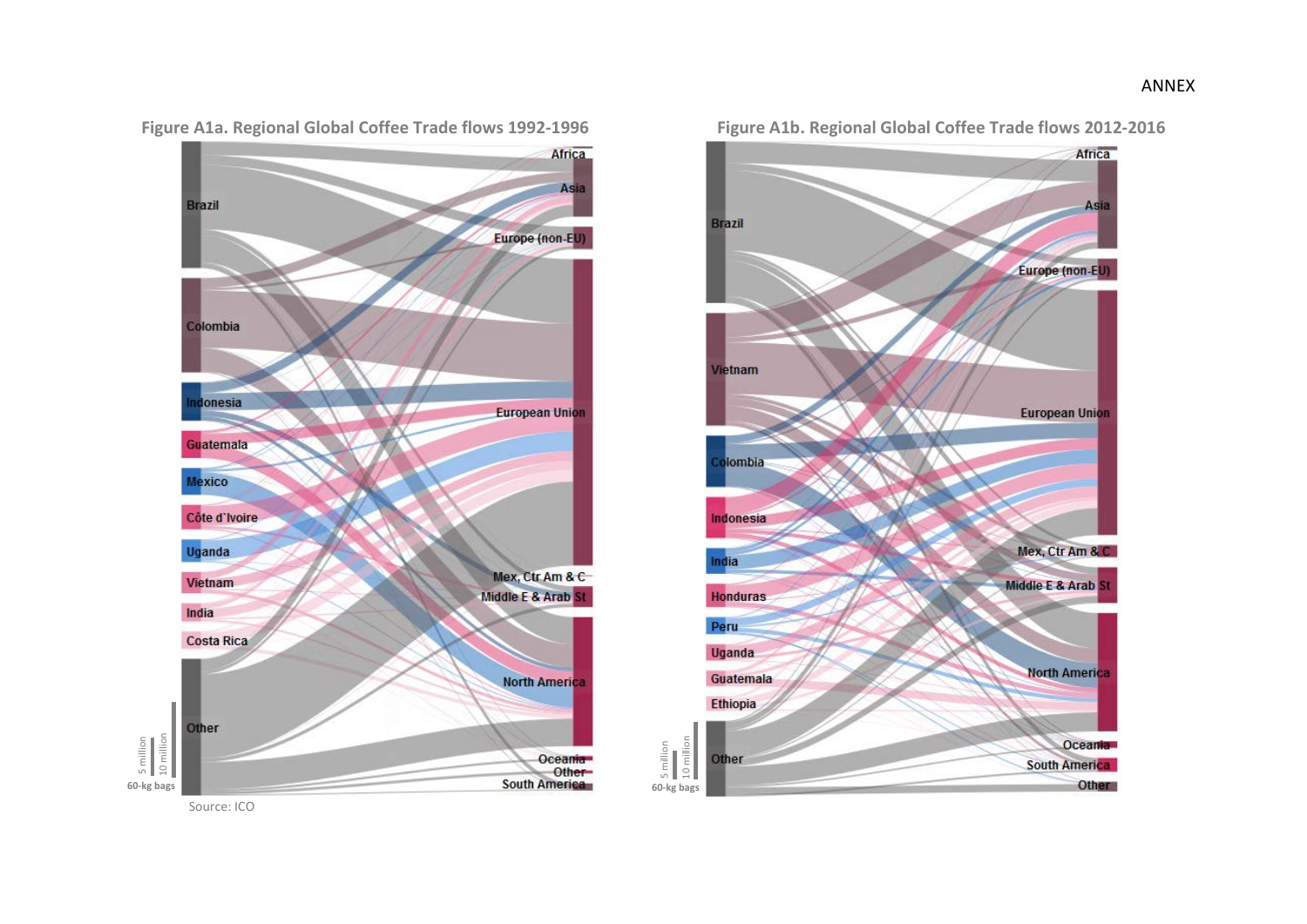

Figure A1a. Regional Global Coffee Trade flows 1992-1996 Figure A1b. Regional Global Coffee Trade flows 2012-2016

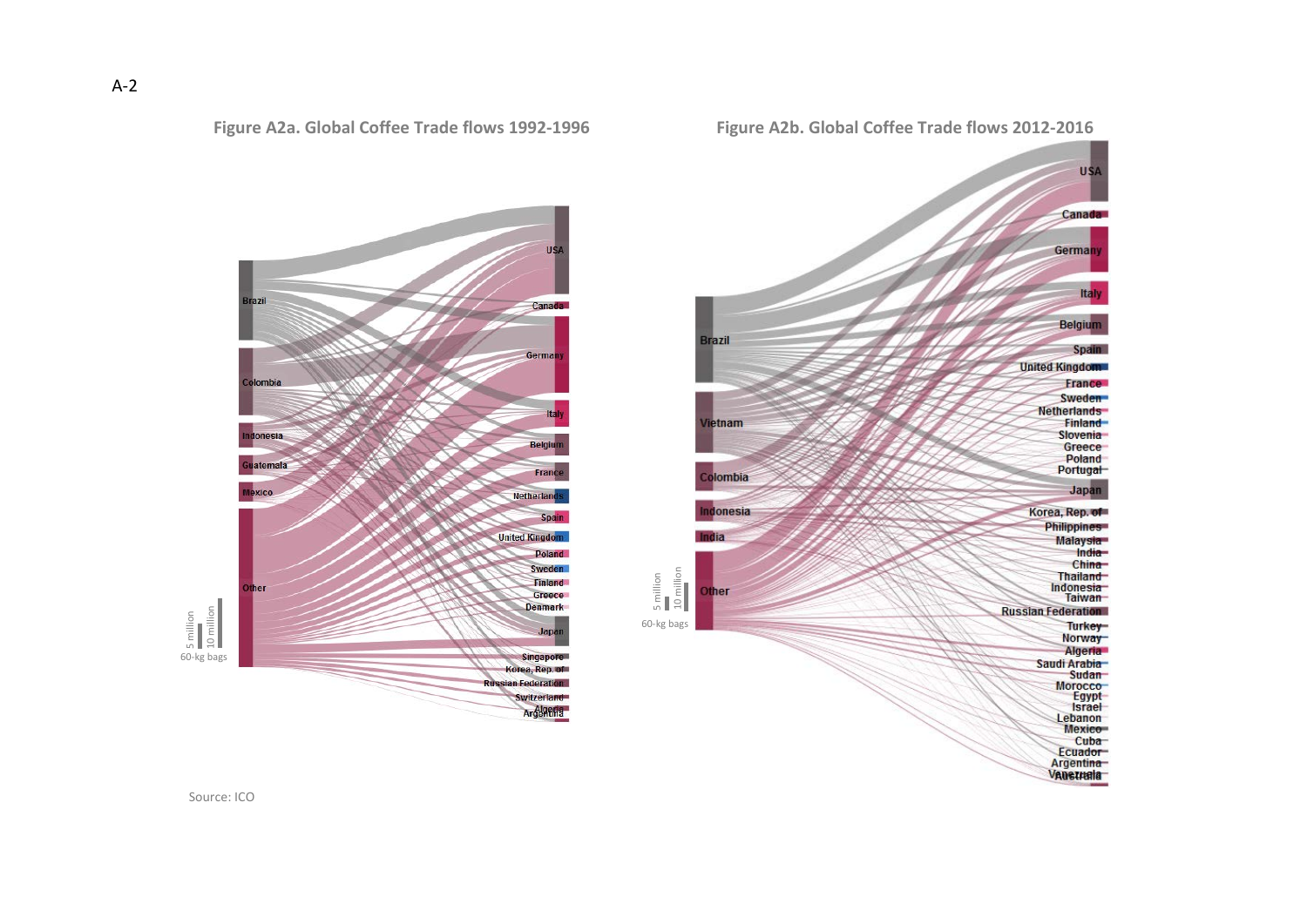

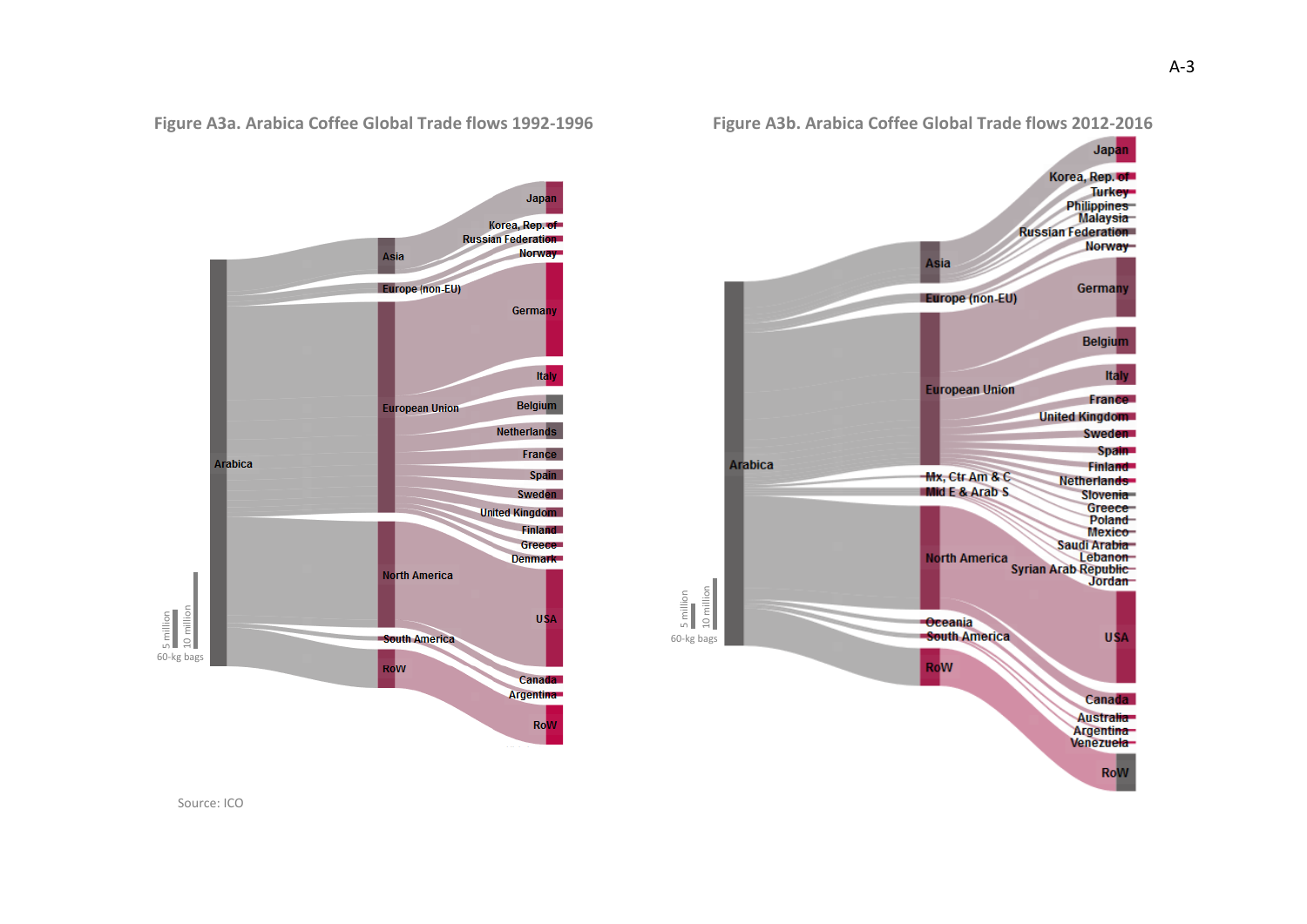